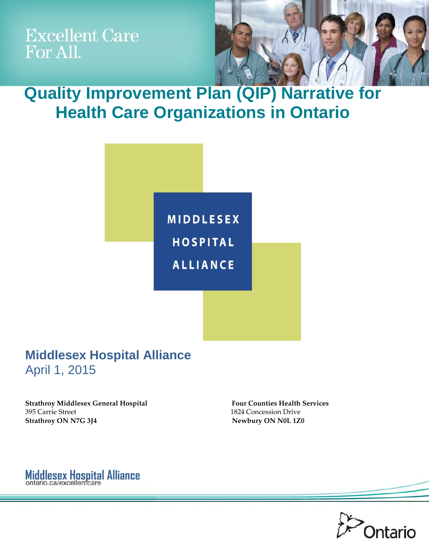**Excellent Care** For All.



**Quality Improvement Plan (QIP) Narrative for Health Care Organizations in Ontario**



# **Middlesex Hospital Alliance**  April 1, 2015



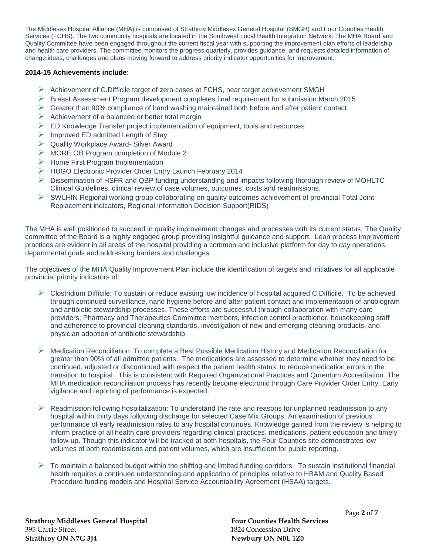The Middlesex Hospital Alliance (MHA) is comprised of Strathroy Middlesex General Hospital (SMGH) and Four Counties Health Services (FCHS). The two community hospitals are located in the Southwest Local Health Integration Network. The MHA Board and Quality Committee have been engaged throughout the current fiscal year with supporting the improvement plan efforts of leadership and health care providers. The committee monitors the progress quarterly, provides guidance, and requests detailed information of change ideas, challenges and plans moving forward to address priority indicator opportunities for improvement.

## **2014-15 Achievements include**:

- $\triangleright$  Achievement of C.Difficile target of zero cases at FCHS, near target achievement SMGH
- $\triangleright$  Breast Assessment Program development completes final requirement for submission March 2015
- $\triangleright$  Greater than 90% compliance of hand washing maintained both before and after patient contact.
- $\triangleright$  Achievement of a balanced or better total margin
- $\triangleright$  ED Knowledge Transfer project implementation of equipment, tools and resources
- $\triangleright$  Improved ED admitted Length of Stay
- ▶ Quality Workplace Award- Silver Award
- $\triangleright$  MORE OB Program completion of Module 2
- $\triangleright$  Home First Program Implementation
- HUGO Electronic Provider Order Entry Launch February 2014
- $\triangleright$  Dissemination of HSFR and QBP funding understanding and impacts following thorough review of MOHLTC Clinical Guidelines, clinical review of case volumes, outcomes, costs and readmissions.
- $\triangleright$  SWLHIN Regional working group collaborating on quality outcomes achievement of provincial Total Joint Replacement indicators, Regional Information Decision Support(RIDS)

The MHA is well positioned to succeed in quality improvement changes and processes with its current status. The Quality committee of the Board is a highly engaged group providing insightful guidance and support. Lean process improvement practices are evident in all areas of the hospital providing a common and inclusive platform for day to day operations, departmental goals and addressing barriers and challenges.

The objectives of the MHA Quality Improvement Plan include the identification of targets and initiatives for all applicable provincial priority indicators of:

- $\triangleright$  Clostridium Difficile: To sustain or reduce existing low incidence of hospital acquired C.Difficile. To be achieved through continued surveillance, hand hygiene before and after patient contact and implementation of antibiogram and antibiotic stewardship processes. These efforts are successful through collaboration with many care providers; Pharmacy and Therapeutics Committee members, infection control practitioner, housekeeping staff and adherence to provincial cleaning standards, investigation of new and emerging cleaning products, and physician adoption of antibiotic stewardship.
- $\triangleright$  Medication Reconciliation: To complete a Best Possible Medication History and Medication Reconciliation for greater than 90% of all admitted patients. The medications are assessed to determine whether they need to be continued, adjusted or discontinued with respect the patient health status, to reduce medication errors in the transition to hospital. This is consistent with Required Organizational Practices and Qmentum Accreditation. The MHA medication reconciliation process has recently become electronic through Care Provider Order Entry. Early vigilance and reporting of performance is expected.
- $\triangleright$  Readmission following hospitalization: To understand the rate and reasons for unplanned readmission to any hospital within thirty days following discharge for selected Case Mix Groups. An examination of previous performance of early readmission rates to any hospital continues. Knowledge gained from the review is helping to inform practice of all health care providers regarding clinical practices, medications, patient education and timely follow-up. Though this indicator will be tracked at both hospitals, the Four Counties site demonstrates low volumes of both readmissions and patient volumes, which are insufficient for public reporting.
- $\triangleright$  To maintain a balanced budget within the shifting and limited funding corridors. To sustain institutional financial health requires a continued understanding and application of principles relative to HBAM and Quality Based Procedure funding models and Hospital Service Accountability Agreement (HSAA) targets.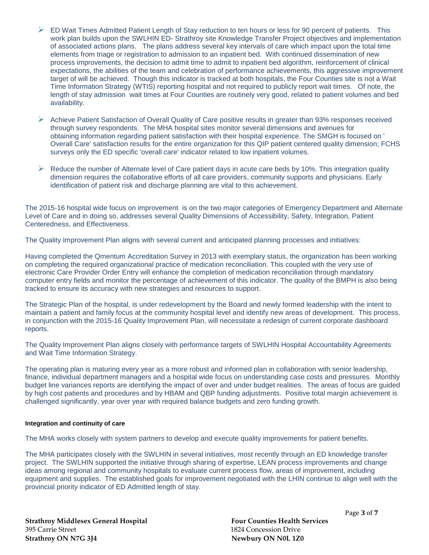- $\triangleright$  ED Wait Times Admitted Patient Length of Stay reduction to ten hours or less for 90 percent of patients. This work plan builds upon the SWLHIN ED- Strathroy site Knowledge Transfer Project objectives and implementation of associated actions plans. The plans address several key intervals of care which impact upon the total time elements from triage or registration to admission to an inpatient bed. With continued dissemination of new process improvements, the decision to admit time to admit to inpatient bed algorithm, reinforcement of clinical expectations, the abilities of the team and celebration of performance achievements, this aggressive improvement target of will be achieved. Though this indicator is tracked at both hospitals, the Four Counties site is not a Wait Time Information Strategy (WTIS) reporting hospital and not required to publicly report wait times. Of note, the length of stay admission wait times at Four Counties are routinely very good, related to patient volumes and bed availability.
- $\triangleright$  Achieve Patient Satisfaction of Overall Quality of Care positive results in greater than 93% responses received through survey respondents. The MHA hospital sites monitor several dimensions and avenues for obtaining information regarding patient satisfaction with their hospital experience. The SMGH is focused on ' Overall Care' satisfaction results for the entire organization for this QIP patient centered quality dimension; FCHS surveys only the ED specific 'overall care' indicator related to low inpatient volumes.
- $\triangleright$  Reduce the number of Alternate level of Care patient days in acute care beds by 10%. This integration quality dimension requires the collaborative efforts of all care providers, community supports and physicians. Early identification of patient risk and discharge planning are vital to this achievement.

The 2015-16 hospital wide focus on improvement is on the two major categories of Emergency Department and Alternate Level of Care and in doing so, addresses several Quality Dimensions of Accessibility, Safety, Integration, Patient Centeredness, and Effectiveness.

The Quality Improvement Plan aligns with several current and anticipated planning processes and initiatives:

Having completed the Qmentum Accreditation Survey in 2013 with exemplary status, the organization has been working on completing the required organizational practice of medication reconciliation. This coupled with the very use of electronic Care Provider Order Entry will enhance the completion of medication reconciliation through mandatory computer entry fields and monitor the percentage of achievement of this indicator. The quality of the BMPH is also being tracked to ensure its accuracy with new strategies and resources to support.

The Strategic Plan of the hospital, is under redevelopment by the Board and newly formed leadership with the intent to maintain a patient and family focus at the community hospital level and identify new areas of development. This process, in conjunction with the 2015-16 Quality Improvement Plan, will necessitate a redesign of current corporate dashboard reports.

The Quality Improvement Plan aligns closely with performance targets of SWLHIN Hospital Accountability Agreements and Wait Time Information Strategy.

The operating plan is maturing every year as a more robust and informed plan in collaboration with senior leadership, finance, individual department managers and a hospital wide focus on understanding case costs and pressures. Monthly budget line variances reports are identifying the impact of over and under budget realities. The areas of focus are guided by high cost patients and procedures and by HBAM and QBP funding adjustments. Positive total margin achievement is challenged significantly, year over year with required balance budgets and zero funding growth.

### **Integration and continuity of care**

The MHA works closely with system partners to develop and execute quality improvements for patient benefits.

The MHA participates closely with the SWLHIN in several initiatives, most recently through an ED knowledge transfer project. The SWLHIN supported the initiative through sharing of expertise, LEAN process improvements and change ideas among regional and community hospitals to evaluate current process flow, areas of improvement, including equipment and supplies. The established goals for improvement negotiated with the LHIN continue to align well with the provincial priority indicator of ED Admitted length of stay.

395 Carrie Street 1824 Concession Drive **Strathroy ON N7G 3J4** Newbury ON N0L 1Z0

**Strathroy Middlesex General Hospital Four Counties Health Services**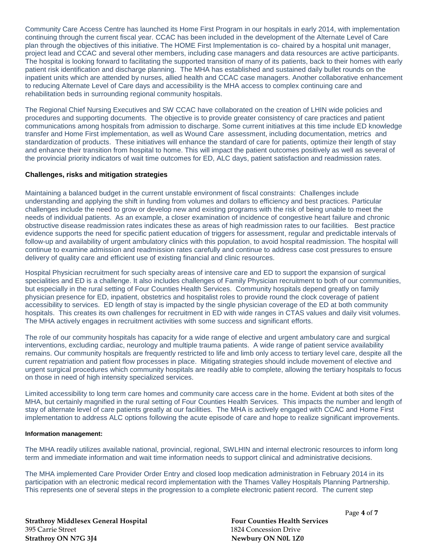Community Care Access Centre has launched its Home First Program in our hospitals in early 2014, with implementation continuing through the current fiscal year. CCAC has been included in the development of the Alternate Level of Care plan through the objectives of this initiative. The HOME First Implementation is co- chaired by a hospital unit manager, project lead and CCAC and several other members, including case managers and data resources are active participants. The hospital is looking forward to facilitating the supported transition of many of its patients, back to their homes with early patient risk identification and discharge planning. The MHA has established and sustained daily bullet rounds on the inpatient units which are attended by nurses, allied health and CCAC case managers. Another collaborative enhancement to reducing Alternate Level of Care days and accessibility is the MHA access to complex continuing care and rehabilitation beds in surrounding regional community hospitals.

The Regional Chief Nursing Executives and SW CCAC have collaborated on the creation of LHIN wide policies and procedures and supporting documents. The objective is to provide greater consistency of care practices and patient communications among hospitals from admission to discharge. Some current initiatives at this time include ED knowledge transfer and Home First implementation, as well as Wound Care assessment, including documentation, metrics and standardization of products. These initiatives will enhance the standard of care for patients, optimize their length of stay and enhance their transition from hospital to home. This will impact the patient outcomes positively as well as several of the provincial priority indicators of wait time outcomes for ED, ALC days, patient satisfaction and readmission rates.

## **Challenges, risks and mitigation strategies**

Maintaining a balanced budget in the current unstable environment of fiscal constraints: Challenges include understanding and applying the shift in funding from volumes and dollars to efficiency and best practices. Particular challenges include the need to grow or develop new and existing programs with the risk of being unable to meet the needs of individual patients. As an example, a closer examination of incidence of congestive heart failure and chronic obstructive disease readmission rates indicates these as areas of high readmission rates to our facilities. Best practice evidence supports the need for specific patient education of triggers for assessment, regular and predictable intervals of follow-up and availability of urgent ambulatory clinics with this population, to avoid hospital readmission. The hospital will continue to examine admission and readmission rates carefully and continue to address case cost pressures to ensure delivery of quality care and efficient use of existing financial and clinic resources.

Hospital Physician recruitment for such specialty areas of intensive care and ED to support the expansion of surgical specialities and ED is a challenge. It also includes challenges of Family Physician recruitment to both of our communities, but especially in the rural setting of Four Counties Health Services. Community hospitals depend greatly on family physician presence for ED, inpatient, obstetrics and hospitalist roles to provide round the clock coverage of patient accessibility to services. ED length of stay is impacted by the single physician coverage of the ED at both community hospitals. This creates its own challenges for recruitment in ED with wide ranges in CTAS values and daily visit volumes. The MHA actively engages in recruitment activities with some success and significant efforts.

The role of our community hospitals has capacity for a wide range of elective and urgent ambulatory care and surgical interventions, excluding cardiac, neurology and multiple trauma patients. A wide range of patient service availability remains. Our community hospitals are frequently restricted to life and limb only access to tertiary level care, despite all the current repatriation and patient flow processes in place. Mitigating strategies should include movement of elective and urgent surgical procedures which community hospitals are readily able to complete, allowing the tertiary hospitals to focus on those in need of high intensity specialized services.

Limited accessibility to long term care homes and community care access care in the home. Evident at both sites of the MHA, but certainly magnified in the rural setting of Four Counties Health Services. This impacts the number and length of stay of alternate level of care patients greatly at our facilities. The MHA is actively engaged with CCAC and Home First implementation to address ALC options following the acute episode of care and hope to realize significant improvements.

## **Information management:**

The MHA readily utilizes available national, provincial, regional, SWLHIN and internal electronic resources to inform long term and immediate information and wait time information needs to support clinical and administrative decisions.

The MHA implemented Care Provider Order Entry and closed loop medication administration in February 2014 in its participation with an electronic medical record implementation with the Thames Valley Hospitals Planning Partnership. This represents one of several steps in the progression to a complete electronic patient record. The current step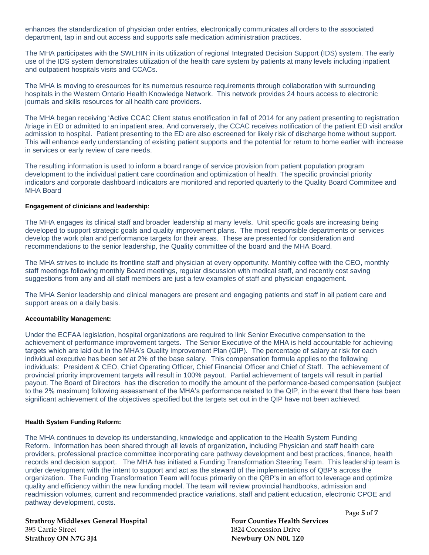enhances the standardization of physician order entries, electronically communicates all orders to the associated department, tap in and out access and supports safe medication administration practices.

The MHA participates with the SWLHIN in its utilization of regional Integrated Decision Support (IDS) system. The early use of the IDS system demonstrates utilization of the health care system by patients at many levels including inpatient and outpatient hospitals visits and CCACs.

The MHA is moving to eresources for its numerous resource requirements through collaboration with surrounding hospitals in the Western Ontario Health Knowledge Network. This network provides 24 hours access to electronic journals and skills resources for all health care providers.

The MHA began receiving 'Active CCAC Client status enotification in fall of 2014 for any patient presenting to registration /triage in ED or admitted to an inpatient area. And conversely, the CCAC receives notification of the patient ED visit and/or admission to hospital. Patient presenting to the ED are also escreened for likely risk of discharge home without support. This will enhance early understanding of existing patient supports and the potential for return to home earlier with increase in services or early review of care needs.

The resulting information is used to inform a board range of service provision from patient population program development to the individual patient care coordination and optimization of health. The specific provincial priority indicators and corporate dashboard indicators are monitored and reported quarterly to the Quality Board Committee and MHA Board

### **Engagement of clinicians and leadership:**

The MHA engages its clinical staff and broader leadership at many levels. Unit specific goals are increasing being developed to support strategic goals and quality improvement plans. The most responsible departments or services develop the work plan and performance targets for their areas. These are presented for consideration and recommendations to the senior leadership, the Quality committee of the board and the MHA Board.

The MHA strives to include its frontline staff and physician at every opportunity. Monthly coffee with the CEO, monthly staff meetings following monthly Board meetings, regular discussion with medical staff, and recently cost saving suggestions from any and all staff members are just a few examples of staff and physician engagement.

The MHA Senior leadership and clinical managers are present and engaging patients and staff in all patient care and support areas on a daily basis.

### **Accountability Management:**

Under the ECFAA legislation, hospital organizations are required to link Senior Executive compensation to the achievement of performance improvement targets. The Senior Executive of the MHA is held accountable for achieving targets which are laid out in the MHA's Quality Improvement Plan (QIP). The percentage of salary at risk for each individual executive has been set at 2% of the base salary. This compensation formula applies to the following individuals: President & CEO, Chief Operating Officer, Chief Financial Officer and Chief of Staff. The achievement of provincial priority improvement targets will result in 100% payout. Partial achievement of targets will result in partial payout. The Board of Directors has the discretion to modify the amount of the performance-based compensation (subject to the 2% maximum) following assessment of the MHA's performance related to the QIP, in the event that there has been significant achievement of the objectives specified but the targets set out in the QIP have not been achieved.

### **Health System Funding Reform:**

The MHA continues to develop its understanding, knowledge and application to the Health System Funding Reform. Information has been shared through all levels of organization, including Physician and staff health care providers, professional practice committee incorporating care pathway development and best practices, finance, health records and decision support. The MHA has initiated a Funding Transformation Steering Team. This leadership team is under development with the intent to support and act as the steward of the implementations of QBP's across the organization. The Funding Transformation Team will focus primarily on the QBP's in an effort to leverage and optimize quality and efficiency within the new funding model. The team will review provincial handbooks, admission and readmission volumes, current and recommended practice variations, staff and patient education, electronic CPOE and pathway development, costs.

**Strathroy Middlesex General Hospital Four Counties Health Services** 395 Carrie Street 1824 Concession Drive **Strathroy ON N7G 3J4** Newbury ON N0L 1Z0

Page **5** of **7**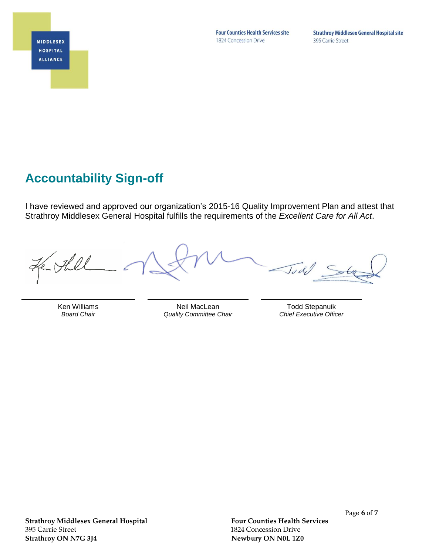**MIDDLESEX HOSPITAL ALLIANCE** 

**Four Counties Health Services site** 1824 Concession Drive

**Strathroy Middlesex General Hospital site** 395 Carrie Street

# **Accountability Sign-off**

I have reviewed and approved our organization's 2015-16 Quality Improvement Plan and attest that Strathroy Middlesex General Hospital fulfills the requirements of the *Excellent Care for All Act*.

 $\sqrt{d}$ 

Ken Williams *Board Chair*

Neil MacLean *Quality Committee Chair*

Todd Stepanuik *Chief Executive Officer*